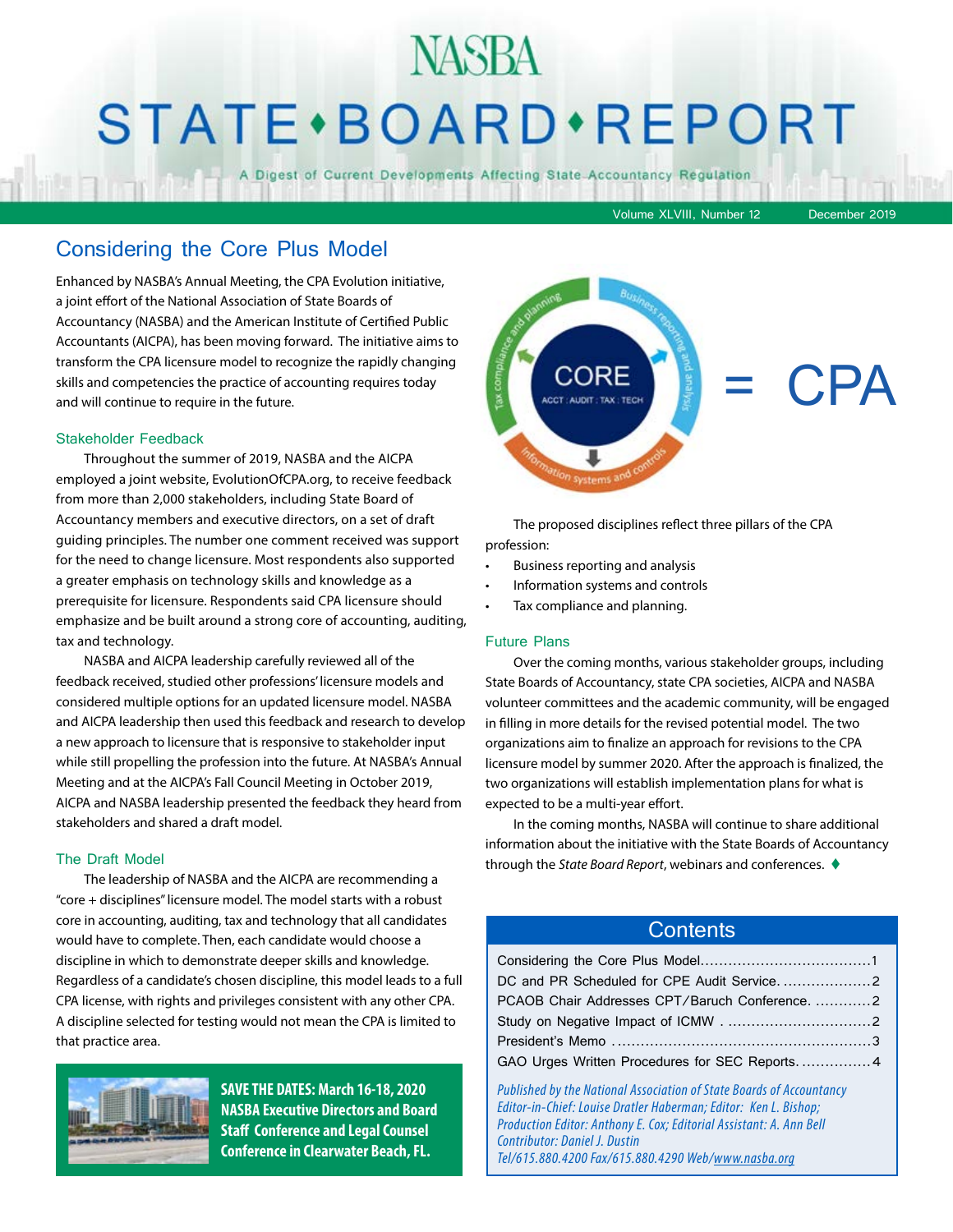## NASBA STATE · BOARD · REPORT

A Digest of Current Developments Affecting State Accountancy Regulation

Volume XLVIII, Number 12 December 2019

#### Considering the Core Plus Model

Enhanced by NASBA's Annual Meeting, the CPA Evolution initiative, a joint effort of the National Association of State Boards of Accountancy (NASBA) and the American Institute of Certified Public Accountants (AICPA), has been moving forward. The initiative aims to transform the CPA licensure model to recognize the rapidly changing skills and competencies the practice of accounting requires today and will continue to require in the future.

#### Stakeholder Feedback

Throughout the summer of 2019, NASBA and the AICPA employed a joint website, EvolutionOfCPA.org, to receive feedback from more than 2,000 stakeholders, including State Board of Accountancy members and executive directors, on a set of draft guiding principles. The number one comment received was support for the need to change licensure. Most respondents also supported a greater emphasis on technology skills and knowledge as a prerequisite for licensure. Respondents said CPA licensure should emphasize and be built around a strong core of accounting, auditing, tax and technology.

NASBA and AICPA leadership carefully reviewed all of the feedback received, studied other professions' licensure models and considered multiple options for an updated licensure model. NASBA and AICPA leadership then used this feedback and research to develop a new approach to licensure that is responsive to stakeholder input while still propelling the profession into the future. At NASBA's Annual Meeting and at the AICPA's Fall Council Meeting in October 2019, AICPA and NASBA leadership presented the feedback they heard from stakeholders and shared a draft model.

#### The Draft Model

The leadership of NASBA and the AICPA are recommending a "core + disciplines" licensure model. The model starts with a robust core in accounting, auditing, tax and technology that all candidates would have to complete. Then, each candidate would choose a discipline in which to demonstrate deeper skills and knowledge. Regardless of a candidate's chosen discipline, this model leads to a full CPA license, with rights and privileges consistent with any other CPA. A discipline selected for testing would not mean the CPA is limited to that practice area.



**SAVE THE DATES: March 16-18, 2020 NASBA Executive Directors and Board Staff Conference and Legal Counsel Conference in Clearwater Beach, FL.**



The proposed disciplines reflect three pillars of the CPA profession:

- Business reporting and analysis
- Information systems and controls
- Tax compliance and planning.

#### Future Plans

Over the coming months, various stakeholder groups, including State Boards of Accountancy, state CPA societies, AICPA and NASBA volunteer committees and the academic community, will be engaged in filling in more details for the revised potential model. The two organizations aim to finalize an approach for revisions to the CPA licensure model by summer 2020. After the approach is finalized, the two organizations will establish implementation plans for what is expected to be a multi-year effort.

In the coming months, NASBA will continue to share additional information about the initiative with the State Boards of Accountancy through the *State Board Report*, webinars and conferences.  $\blacklozenge$ 

#### **Contents**

| PCAOB Chair Addresses CPT/Baruch Conference. 2   |  |
|--------------------------------------------------|--|
|                                                  |  |
|                                                  |  |
| GAO Urges Written Procedures for SEC Reports.  4 |  |

*Published by the National Association of State Boards of Accountancy Editor-in-Chief: Louise Dratler Haberman; Editor: Ken L. Bishop; Production Editor: Anthony E. Cox; Editorial Assistant: A. Ann Bell Contributor: Daniel J. Dustin Tel/615.880.4200 Fax/615.880.4290 Web/www.nasba.org*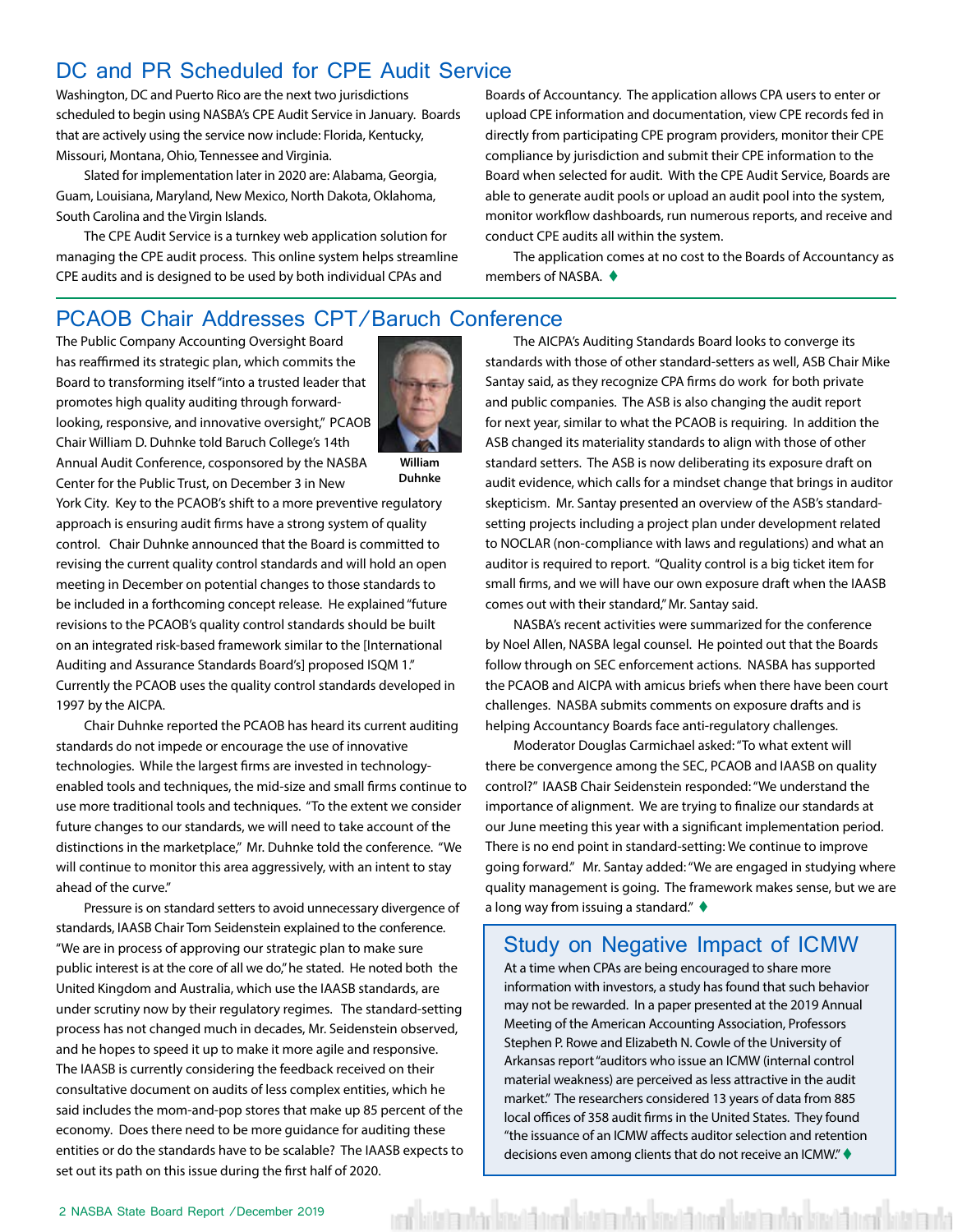#### <span id="page-1-0"></span>DC and PR Scheduled for CPE Audit Service

Washington, DC and Puerto Rico are the next two jurisdictions scheduled to begin using NASBA's CPE Audit Service in January. Boards that are actively using the service now include: Florida, Kentucky, Missouri, Montana, Ohio, Tennessee and Virginia.

Slated for implementation later in 2020 are: Alabama, Georgia, Guam, Louisiana, Maryland, New Mexico, North Dakota, Oklahoma, South Carolina and the Virgin Islands.

The CPE Audit Service is a turnkey web application solution for managing the CPE audit process. This online system helps streamline CPE audits and is designed to be used by both individual CPAs and

Boards of Accountancy. The application allows CPA users to enter or upload CPE information and documentation, view CPE records fed in directly from participating CPE program providers, monitor their CPE compliance by jurisdiction and submit their CPE information to the Board when selected for audit. With the CPE Audit Service, Boards are able to generate audit pools or upload an audit pool into the system, monitor workflow dashboards, run numerous reports, and receive and conduct CPE audits all within the system.

The application comes at no cost to the Boards of Accountancy as members of NASBA.  $\triangle$ 

#### PCAOB Chair Addresses CPT/Baruch Conference

The Public Company Accounting Oversight Board has reaffirmed its strategic plan, which commits the Board to transforming itself "into a trusted leader that promotes high quality auditing through forwardlooking, responsive, and innovative oversight," PCAOB Chair William D. Duhnke told Baruch College's 14th Annual Audit Conference, cosponsored by the NASBA

Center for the Public Trust, on December 3 in New



**William Duhnke**

York City. Key to the PCAOB's shift to a more preventive regulatory approach is ensuring audit firms have a strong system of quality control. Chair Duhnke announced that the Board is committed to revising the current quality control standards and will hold an open meeting in December on potential changes to those standards to be included in a forthcoming concept release. He explained "future revisions to the PCAOB's quality control standards should be built on an integrated risk-based framework similar to the [International Auditing and Assurance Standards Board's] proposed ISQM 1." Currently the PCAOB uses the quality control standards developed in 1997 by the AICPA.

Chair Duhnke reported the PCAOB has heard its current auditing standards do not impede or encourage the use of innovative technologies. While the largest firms are invested in technologyenabled tools and techniques, the mid-size and small firms continue to use more traditional tools and techniques. "To the extent we consider future changes to our standards, we will need to take account of the distinctions in the marketplace," Mr. Duhnke told the conference. "We will continue to monitor this area aggressively, with an intent to stay ahead of the curve."

Pressure is on standard setters to avoid unnecessary divergence of standards, IAASB Chair Tom Seidenstein explained to the conference. "We are in process of approving our strategic plan to make sure public interest is at the core of all we do," he stated. He noted both the United Kingdom and Australia, which use the IAASB standards, are under scrutiny now by their regulatory regimes. The standard-setting process has not changed much in decades, Mr. Seidenstein observed, and he hopes to speed it up to make it more agile and responsive. The IAASB is currently considering the feedback received on their consultative document on audits of less complex entities, which he said includes the mom-and-pop stores that make up 85 percent of the economy. Does there need to be more guidance for auditing these entities or do the standards have to be scalable? The IAASB expects to set out its path on this issue during the first half of 2020.

The AICPA's Auditing Standards Board looks to converge its standards with those of other standard-setters as well, ASB Chair Mike Santay said, as they recognize CPA firms do work for both private and public companies. The ASB is also changing the audit report for next year, similar to what the PCAOB is requiring. In addition the ASB changed its materiality standards to align with those of other standard setters. The ASB is now deliberating its exposure draft on audit evidence, which calls for a mindset change that brings in auditor skepticism. Mr. Santay presented an overview of the ASB's standardsetting projects including a project plan under development related to NOCLAR (non-compliance with laws and regulations) and what an auditor is required to report. "Quality control is a big ticket item for small firms, and we will have our own exposure draft when the IAASB comes out with their standard," Mr. Santay said.

NASBA's recent activities were summarized for the conference by Noel Allen, NASBA legal counsel. He pointed out that the Boards follow through on SEC enforcement actions. NASBA has supported the PCAOB and AICPA with amicus briefs when there have been court challenges. NASBA submits comments on exposure drafts and is helping Accountancy Boards face anti-regulatory challenges.

Moderator Douglas Carmichael asked: "To what extent will there be convergence among the SEC, PCAOB and IAASB on quality control?" IAASB Chair Seidenstein responded: "We understand the importance of alignment. We are trying to finalize our standards at our June meeting this year with a significant implementation period. There is no end point in standard-setting: We continue to improve going forward." Mr. Santay added: "We are engaged in studying where quality management is going. The framework makes sense, but we are a long way from issuing a standard."  $\blacklozenge$ 

#### Study on Negative Impact of ICMW

At a time when CPAs are being encouraged to share more information with investors, a study has found that such behavior may not be rewarded. In a paper presented at the 2019 Annual Meeting of the American Accounting Association, Professors Stephen P. Rowe and Elizabeth N. Cowle of the University of Arkansas report "auditors who issue an ICMW (internal control material weakness) are perceived as less attractive in the audit market." The researchers considered 13 years of data from 885 local offices of 358 audit firms in the United States. They found "the issuance of an ICMW affects auditor selection and retention decisions even among clients that do not receive an ICMW."  $\blacklozenge$ 

ed bitata dar kitat bitata darkar kitata da bitata darkar kitata da bitata da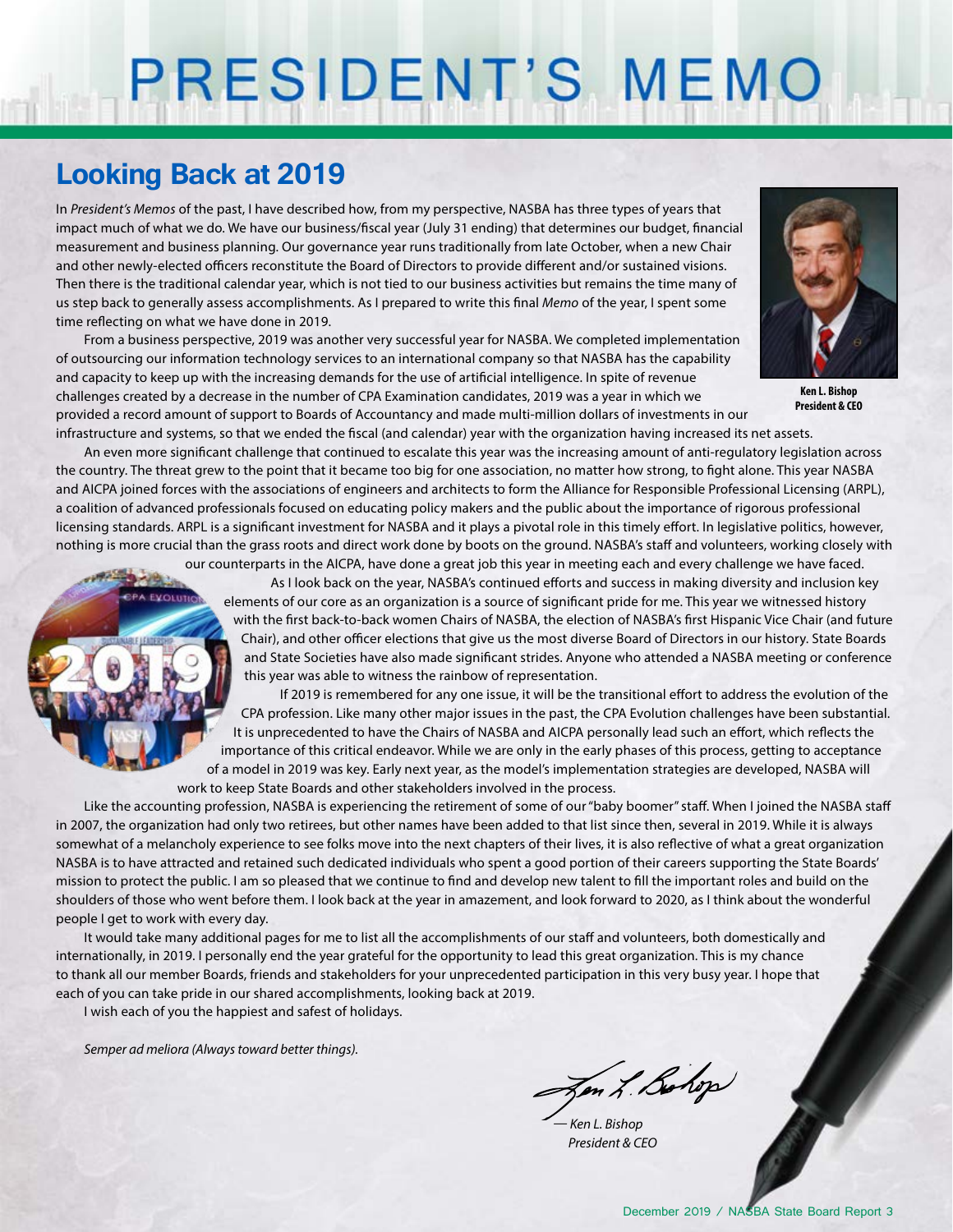# PRESIDENT'S MEMO

### **Looking Back at 2019**

**CPA EVOLUTION** 

In *President's Memos* of the past, I have described how, from my perspective, NASBA has three types of years that impact much of what we do. We have our business/fiscal year (July 31 ending) that determines our budget, financial measurement and business planning. Our governance year runs traditionally from late October, when a new Chair and other newly-elected officers reconstitute the Board of Directors to provide different and/or sustained visions. Then there is the traditional calendar year, which is not tied to our business activities but remains the time many of us step back to generally assess accomplishments. As I prepared to write this final *Memo* of the year, I spent some time reflecting on what we have done in 2019.

From a business perspective, 2019 was another very successful year for NASBA. We completed implementation of outsourcing our information technology services to an international company so that NASBA has the capability and capacity to keep up with the increasing demands for the use of artificial intelligence. In spite of revenue challenges created by a decrease in the number of CPA Examination candidates, 2019 was a year in which we provided a record amount of support to Boards of Accountancy and made multi-million dollars of investments in our infrastructure and systems, so that we ended the fiscal (and calendar) year with the organization having increased its net assets.



**Ken L. Bishop President & CEO**

An even more significant challenge that continued to escalate this year was the increasing amount of anti-regulatory legislation across the country. The threat grew to the point that it became too big for one association, no matter how strong, to fight alone. This year NASBA and AICPA joined forces with the associations of engineers and architects to form the Alliance for Responsible Professional Licensing (ARPL), a coalition of advanced professionals focused on educating policy makers and the public about the importance of rigorous professional licensing standards. ARPL is a significant investment for NASBA and it plays a pivotal role in this timely effort. In legislative politics, however, nothing is more crucial than the grass roots and direct work done by boots on the ground. NASBA's staff and volunteers, working closely with

> our counterparts in the AICPA, have done a great job this year in meeting each and every challenge we have faced. As I look back on the year, NASBA's continued efforts and success in making diversity and inclusion key elements of our core as an organization is a source of significant pride for me. This year we witnessed history with the first back-to-back women Chairs of NASBA, the election of NASBA's first Hispanic Vice Chair (and future Chair), and other officer elections that give us the most diverse Board of Directors in our history. State Boards and State Societies have also made significant strides. Anyone who attended a NASBA meeting or conference this year was able to witness the rainbow of representation.

> If 2019 is remembered for any one issue, it will be the transitional effort to address the evolution of the CPA profession. Like many other major issues in the past, the CPA Evolution challenges have been substantial. It is unprecedented to have the Chairs of NASBA and AICPA personally lead such an effort, which reflects the importance of this critical endeavor. While we are only in the early phases of this process, getting to acceptance of a model in 2019 was key. Early next year, as the model's implementation strategies are developed, NASBA will work to keep State Boards and other stakeholders involved in the process.

Like the accounting profession, NASBA is experiencing the retirement of some of our "baby boomer" staff. When I joined the NASBA staff in 2007, the organization had only two retirees, but other names have been added to that list since then, several in 2019. While it is always somewhat of a melancholy experience to see folks move into the next chapters of their lives, it is also reflective of what a great organization NASBA is to have attracted and retained such dedicated individuals who spent a good portion of their careers supporting the State Boards' mission to protect the public. I am so pleased that we continue to find and develop new talent to fill the important roles and build on the shoulders of those who went before them. I look back at the year in amazement, and look forward to 2020, as I think about the wonderful people I get to work with every day.

It would take many additional pages for me to list all the accomplishments of our staff and volunteers, both domestically and internationally, in 2019. I personally end the year grateful for the opportunity to lead this great organization. This is my chance to thank all our member Boards, friends and stakeholders for your unprecedented participation in this very busy year. I hope that each of you can take pride in our shared accomplishments, looking back at 2019.

I wish each of you the happiest and safest of holidays.

*Semper ad meliora (Always toward better things).*

Zen L. Bolop

*— Ken L. Bishop President & CEO*